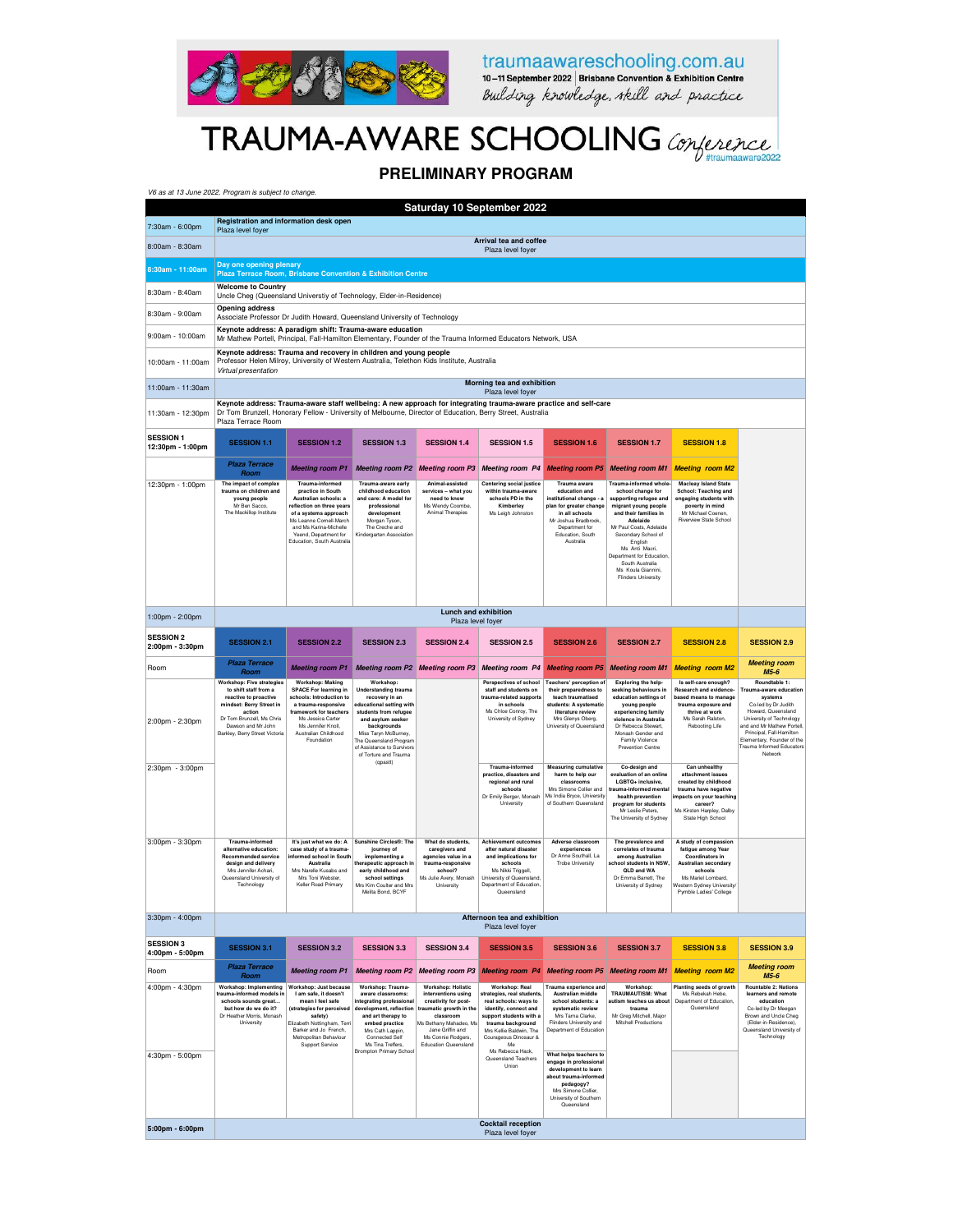

traumaawareschooling.com.au<br>10-11 September 2022 | Brisbane Convention & Exhibition Centre<br>Building knowledge, relief and practice

## TRAUMA-AWARE SCHOOLING Conference

### **PRELIMINARY PROGRAM**

| V6 as at 13 June 2022. Program is subject to change.                 |                                                                                                                                                                                                                                                       |                                                                                                                                                                                                                                 |                                                                                                                                                                                                                                                                          |                                                                                                                                                                                                                     |                                                                                                                                                                                                                              |                                                                                                                                                                                  |                                                                                                                                                                                                                                                                                                                     |                                                                                                                                                                                |                                                                                                                                                                                                                                                                    |  |  |
|----------------------------------------------------------------------|-------------------------------------------------------------------------------------------------------------------------------------------------------------------------------------------------------------------------------------------------------|---------------------------------------------------------------------------------------------------------------------------------------------------------------------------------------------------------------------------------|--------------------------------------------------------------------------------------------------------------------------------------------------------------------------------------------------------------------------------------------------------------------------|---------------------------------------------------------------------------------------------------------------------------------------------------------------------------------------------------------------------|------------------------------------------------------------------------------------------------------------------------------------------------------------------------------------------------------------------------------|----------------------------------------------------------------------------------------------------------------------------------------------------------------------------------|---------------------------------------------------------------------------------------------------------------------------------------------------------------------------------------------------------------------------------------------------------------------------------------------------------------------|--------------------------------------------------------------------------------------------------------------------------------------------------------------------------------|--------------------------------------------------------------------------------------------------------------------------------------------------------------------------------------------------------------------------------------------------------------------|--|--|
| Saturday 10 September 2022<br>Registration and information desk open |                                                                                                                                                                                                                                                       |                                                                                                                                                                                                                                 |                                                                                                                                                                                                                                                                          |                                                                                                                                                                                                                     |                                                                                                                                                                                                                              |                                                                                                                                                                                  |                                                                                                                                                                                                                                                                                                                     |                                                                                                                                                                                |                                                                                                                                                                                                                                                                    |  |  |
| 7:30am - 6:00pm                                                      | Plaza level foyer                                                                                                                                                                                                                                     |                                                                                                                                                                                                                                 |                                                                                                                                                                                                                                                                          |                                                                                                                                                                                                                     | Arrival tea and coffee                                                                                                                                                                                                       |                                                                                                                                                                                  |                                                                                                                                                                                                                                                                                                                     |                                                                                                                                                                                |                                                                                                                                                                                                                                                                    |  |  |
| 8:00am - 8:30am                                                      |                                                                                                                                                                                                                                                       |                                                                                                                                                                                                                                 |                                                                                                                                                                                                                                                                          |                                                                                                                                                                                                                     | Plaza level foyer                                                                                                                                                                                                            |                                                                                                                                                                                  |                                                                                                                                                                                                                                                                                                                     |                                                                                                                                                                                |                                                                                                                                                                                                                                                                    |  |  |
| 8:30am - 11:00am                                                     | Day one opening plenary<br>Plaza Terrace Room, Brisbane Convention & Exhibition Centre                                                                                                                                                                |                                                                                                                                                                                                                                 |                                                                                                                                                                                                                                                                          |                                                                                                                                                                                                                     |                                                                                                                                                                                                                              |                                                                                                                                                                                  |                                                                                                                                                                                                                                                                                                                     |                                                                                                                                                                                |                                                                                                                                                                                                                                                                    |  |  |
| 8:30am - 8:40am                                                      | <b>Welcome to Country</b><br>Uncle Cheg (Queensland Universtiy of Technology, Elder-in-Residence)                                                                                                                                                     |                                                                                                                                                                                                                                 |                                                                                                                                                                                                                                                                          |                                                                                                                                                                                                                     |                                                                                                                                                                                                                              |                                                                                                                                                                                  |                                                                                                                                                                                                                                                                                                                     |                                                                                                                                                                                |                                                                                                                                                                                                                                                                    |  |  |
| 8:30am - 9:00am                                                      | <b>Opening address</b><br>Associate Professor Dr Judith Howard, Queensland University of Technology                                                                                                                                                   |                                                                                                                                                                                                                                 |                                                                                                                                                                                                                                                                          |                                                                                                                                                                                                                     |                                                                                                                                                                                                                              |                                                                                                                                                                                  |                                                                                                                                                                                                                                                                                                                     |                                                                                                                                                                                |                                                                                                                                                                                                                                                                    |  |  |
| 9:00am - 10:00am                                                     | Keynote address: A paradigm shift: Trauma-aware education<br>Mr Mathew Portell, Principal, Fall-Hamilton Elementary, Founder of the Trauma Informed Educators Network, USA                                                                            |                                                                                                                                                                                                                                 |                                                                                                                                                                                                                                                                          |                                                                                                                                                                                                                     |                                                                                                                                                                                                                              |                                                                                                                                                                                  |                                                                                                                                                                                                                                                                                                                     |                                                                                                                                                                                |                                                                                                                                                                                                                                                                    |  |  |
| 10:00am - 11:00am                                                    | Keynote address: Trauma and recovery in children and young people<br>Professor Helen Milroy, University of Western Australia, Telethon Kids Institute, Australia<br>Virtual presentation                                                              |                                                                                                                                                                                                                                 |                                                                                                                                                                                                                                                                          |                                                                                                                                                                                                                     |                                                                                                                                                                                                                              |                                                                                                                                                                                  |                                                                                                                                                                                                                                                                                                                     |                                                                                                                                                                                |                                                                                                                                                                                                                                                                    |  |  |
| 11:00am - 11:30am                                                    |                                                                                                                                                                                                                                                       |                                                                                                                                                                                                                                 |                                                                                                                                                                                                                                                                          |                                                                                                                                                                                                                     | Morning tea and exhibition<br>Plaza level foyer                                                                                                                                                                              |                                                                                                                                                                                  |                                                                                                                                                                                                                                                                                                                     |                                                                                                                                                                                |                                                                                                                                                                                                                                                                    |  |  |
| 11:30am - 12:30pm                                                    | Keynote address: Trauma-aware staff wellbeing: A new approach for integrating trauma-aware practice and self-care<br>Dr Tom Brunzell, Honorary Fellow - University of Melbourne, Director of Education, Berry Street, Australia<br>Plaza Terrace Room |                                                                                                                                                                                                                                 |                                                                                                                                                                                                                                                                          |                                                                                                                                                                                                                     |                                                                                                                                                                                                                              |                                                                                                                                                                                  |                                                                                                                                                                                                                                                                                                                     |                                                                                                                                                                                |                                                                                                                                                                                                                                                                    |  |  |
| <b>SESSION 1</b><br>12:30pm - 1:00pm                                 | <b>SESSION 1.1</b>                                                                                                                                                                                                                                    | <b>SESSION 1.2</b>                                                                                                                                                                                                              | <b>SESSION 1.3</b>                                                                                                                                                                                                                                                       | <b>SESSION 1.4</b>                                                                                                                                                                                                  | <b>SESSION 1.5</b>                                                                                                                                                                                                           | <b>SESSION 1.6</b>                                                                                                                                                               | <b>SESSION 1.7</b>                                                                                                                                                                                                                                                                                                  | <b>SESSION 1.8</b>                                                                                                                                                             |                                                                                                                                                                                                                                                                    |  |  |
|                                                                      | <b>Plaza Terrace</b><br>Room                                                                                                                                                                                                                          | <b>Meeting room P1</b>                                                                                                                                                                                                          | <b>Meeting room P2</b>                                                                                                                                                                                                                                                   | <b>Meeting room P3</b>                                                                                                                                                                                              | <b>Meeting room P4</b>                                                                                                                                                                                                       | <b>Meeting room P5</b>                                                                                                                                                           | <b>Meeting room M1</b>                                                                                                                                                                                                                                                                                              | <b>Meeting room M2</b>                                                                                                                                                         |                                                                                                                                                                                                                                                                    |  |  |
| 12:30pm - 1:00pm                                                     | The impact of complex<br>trauma on children and<br>young people<br>Mr Ben Sacco<br>The Mackillop Institute                                                                                                                                            | Trauma-informed<br>practice in South<br>Australian schools: a<br>reflection on three vears<br>of a systems approach<br>Ms Leanne Cornell-March<br>and Ms Karina-Michelle<br>Yeend, Department for<br>Education, South Australia | Trauma-aware early<br>childhood education<br>and care: A model for<br>professional<br>development<br>Morgan Tyson,<br>The Creche and<br>Kindergarten Association                                                                                                         | Animal-assisted<br>services - what you<br>need to know<br>Ms Wendy Coombe<br>Animal Therapies                                                                                                                       | Centering social justice<br>within trauma-aware<br>schools PD in the<br>Kimberley<br>Ms Leigh Johnston                                                                                                                       | Trauma aware<br>education and<br>institutional change - a<br>plan for greater change<br>in all schools<br>Mr Joshua Bradbrook<br>Department for<br>Education, South<br>Australia | Trauma-informed whole<br>school change for<br>supporting refugee and<br>migrant young people<br>and their families in<br>Adelaide<br>Mr Paul Coats, Adelaide<br>Secondary School of<br>English<br>Ms Anti Macri,<br>Department for Education<br>South Australia<br>Ms Koula Giannini,<br><b>Flinders University</b> | <b>Macleay Island State</b><br>School: Teaching and<br>engaging students with<br>poverty in mind<br>Mr Michael Coenen.<br>Riverview State School                               |                                                                                                                                                                                                                                                                    |  |  |
| 1:00pm - 2:00pm                                                      |                                                                                                                                                                                                                                                       |                                                                                                                                                                                                                                 |                                                                                                                                                                                                                                                                          | Lunch and exhibition<br>Plaza level foyer                                                                                                                                                                           |                                                                                                                                                                                                                              |                                                                                                                                                                                  |                                                                                                                                                                                                                                                                                                                     |                                                                                                                                                                                |                                                                                                                                                                                                                                                                    |  |  |
| <b>SESSION 2</b><br>2:00pm - 3:30pm                                  | <b>SESSION 2.1</b>                                                                                                                                                                                                                                    | <b>SESSION 2.2</b>                                                                                                                                                                                                              | <b>SESSION 2.3</b>                                                                                                                                                                                                                                                       | <b>SESSION 2.4</b>                                                                                                                                                                                                  | <b>SESSION 2.5</b>                                                                                                                                                                                                           | <b>SESSION 2.6</b>                                                                                                                                                               | <b>SESSION 2.7</b>                                                                                                                                                                                                                                                                                                  | <b>SESSION 2.8</b>                                                                                                                                                             | <b>SESSION 2.9</b>                                                                                                                                                                                                                                                 |  |  |
|                                                                      |                                                                                                                                                                                                                                                       |                                                                                                                                                                                                                                 |                                                                                                                                                                                                                                                                          |                                                                                                                                                                                                                     |                                                                                                                                                                                                                              |                                                                                                                                                                                  |                                                                                                                                                                                                                                                                                                                     |                                                                                                                                                                                |                                                                                                                                                                                                                                                                    |  |  |
| Room                                                                 | <b>Plaza Terrace</b>                                                                                                                                                                                                                                  | <b>Meeting room P1</b>                                                                                                                                                                                                          | <b>Meeting room P2</b>                                                                                                                                                                                                                                                   | <b>Meeting room P3</b>                                                                                                                                                                                              | <b>Meeting room P4</b>                                                                                                                                                                                                       | <b>Meeting room P5</b>                                                                                                                                                           | <b>Meeting room M1</b>                                                                                                                                                                                                                                                                                              | <b>Meeting room M2</b>                                                                                                                                                         | <b>Meeting room</b>                                                                                                                                                                                                                                                |  |  |
| 2:00pm - 2:30pm                                                      | Room<br>Workshop: Five strategies<br>to shift staff from a<br>reactive to proactive<br>mindset: Berry Street in<br>action<br>Dr Tom Brunzell, Ms Chris<br>Dawson and Mr John<br>Barkley, Berry Street Victoria                                        | <b>Workshop: Making</b><br><b>SPACE For learning in</b><br>schools: Introduction to<br>a trauma-responsive<br>framework for teachers<br>Ms Jessica Carter<br>Ms Jennifer Knoll.<br>Australian Childhood<br>Foundation           | Workshop:<br><b>Understanding trauma</b><br>recovery in an<br>educational setting with<br>students from refugee<br>and asylum seeker<br>backgrounds<br>Miss Taryn McBurney,<br>The Queensland Program<br>of Assistance to Survivors<br>of Torture and Trauma<br>(qpastt) |                                                                                                                                                                                                                     | Perspectives of school<br>staff and students on<br>trauma-related supports<br>in schools<br>Ms Chloe Conroy, The<br>University of Sydney                                                                                     | Teachers' perception of<br>their preparedness to<br>teach traumatised<br>students: A systematic<br>literature review<br>Mrs Glenys Oberg,<br>University of Queensland            | Exploring the help-<br>seeking behaviours in<br>education settings of<br>young people<br>experiencing family<br>violence in Australia<br>Dr Rebecca Stewart,<br>Monash Gender and<br>Family Violence<br>Prevention Centre                                                                                           | Is self-care enough?<br>Research and evidence-<br>based means to manage<br>trauma exposure and<br>thrive at work<br>Ms Sarah Ralston,<br>Rebooting Life                        | M5-6<br>Roundtable 1:<br>Trauma-aware education<br>systems<br>Co-led by Dr Judith<br>Howard, Queensland<br>University of Technology<br>and and Mr Mathew Portell<br>Principal, Fall-Hamilton<br>Elementary, Founder of the<br>Trauma Informed Educators<br>Network |  |  |
| 2:30pm - 3:00pm                                                      |                                                                                                                                                                                                                                                       |                                                                                                                                                                                                                                 |                                                                                                                                                                                                                                                                          |                                                                                                                                                                                                                     | Trauma-informed<br>practice, disasters and<br>regional and rural<br>schools<br>Dr Emily Berger, Monash<br>University                                                                                                         | <b>Measuring cumulative</b><br>harm to help our<br>classrooms<br>Mrs Simone Collier and<br>Ms India Bryce, University<br>of Southern Queensland                                  | Co-design and<br>evaluation of an online<br>LGBTQ+ inclusive,<br>trauma-informed menta<br>health prevention<br>program for students<br>Mr Leslie Peters,<br>The University of Sydney                                                                                                                                | Can unhealthy<br>attachment issues<br>created by childhood<br>trauma have negative<br>mpacts on your teaching<br>career?<br>Ms Kirsten Harpley, Dalby<br>State High School     |                                                                                                                                                                                                                                                                    |  |  |
| 3:00pm - 3:30pm                                                      | <b>Trauma-informed</b><br>alternative education:<br><b>Recommended service</b><br>design and delivery<br>Mrs Jennifer Achari,<br>Queensland University of<br>Technology                                                                               | It's just what we do: A<br>case study of a trauma-<br>informed school in South<br>Australia<br>Mrs Narelle Kusabs and<br>Mrs Toni Webster.<br>Keller Road Primary                                                               | <b>Sunshine Circles®: The</b><br>journey of<br>implementing a<br>therapeutic approach in<br>early childhood and<br>school settings<br>Mrs Kim Coulter and Mrs<br>Melita Bond, BCYF                                                                                       | What do students.<br>caregivers and<br>agencies value in a<br>trauma-responsive<br>school?<br>Ms Julie Avery, Monash<br>University                                                                                  | <b>Achievement outcomes</b><br>after natural disaster<br>and implications for<br>schools<br>Ms Nikki Triggell,<br>University of Queensland,<br>Department of Education,<br>Queensland                                        | Adverse classroom<br>experiences<br>Dr Anne Southall, La<br><b>Trobe University</b>                                                                                              | The prevalence and<br>correlates of trauma<br>among Australian<br>school students in NSW<br><b>QLD and WA</b><br>Dr Emma Barrett, The<br>University of Sydney                                                                                                                                                       | A study of compassion<br>fatique among Year<br>Coordinators in<br>Australian secondary<br>schools<br>Ms Mariel Lombard,<br>Western Sydney University<br>Pymble Ladies' College |                                                                                                                                                                                                                                                                    |  |  |
| 3:30pm - 4:00pm                                                      |                                                                                                                                                                                                                                                       |                                                                                                                                                                                                                                 |                                                                                                                                                                                                                                                                          |                                                                                                                                                                                                                     | Afternoon tea and exhibition<br>Plaza level foyer                                                                                                                                                                            |                                                                                                                                                                                  |                                                                                                                                                                                                                                                                                                                     |                                                                                                                                                                                |                                                                                                                                                                                                                                                                    |  |  |
| <b>SESSION 3</b><br>4:00pm - 5:00pm                                  | <b>SESSION 3.1</b>                                                                                                                                                                                                                                    | <b>SESSION 3.2</b>                                                                                                                                                                                                              | <b>SESSION 3.3</b>                                                                                                                                                                                                                                                       | <b>SESSION 3.4</b>                                                                                                                                                                                                  | <b>SESSION 3.5</b>                                                                                                                                                                                                           | <b>SESSION 3.6</b>                                                                                                                                                               | <b>SESSION 3.7</b>                                                                                                                                                                                                                                                                                                  | <b>SESSION 3.8</b>                                                                                                                                                             | <b>SESSION 3.9</b>                                                                                                                                                                                                                                                 |  |  |
| Room                                                                 | <b>Plaza Terrace</b><br>Room                                                                                                                                                                                                                          | <b>Meeting room P1</b>                                                                                                                                                                                                          | <b>Meeting room P2</b>                                                                                                                                                                                                                                                   | <b>Meeting room P3</b>                                                                                                                                                                                              | <b>Meeting room P4</b>                                                                                                                                                                                                       |                                                                                                                                                                                  | <b>Meeting room P5</b> Meeting room M1                                                                                                                                                                                                                                                                              | <b>Meeting room M2</b>                                                                                                                                                         | <b>Meeting room</b><br>M5-6                                                                                                                                                                                                                                        |  |  |
| 4:00pm - 4:30pm                                                      | Workshop: Implementing<br>rauma-informed models in<br>schools sounds great<br>but how do we do it?<br>Dr Heather Morris, Monash<br>University                                                                                                         | Workshop: Just because<br>I am safe, it doesn't<br>mean I feel safe<br>(strategies for perceived<br>safety)<br>Elizabeth Nottingham, Terri<br>Barker and Jo French,<br>Metropolitan Behaviour<br>Support Service                | Workshop: Trauma-<br>aware classrooms:<br>integrating professional<br>development, reflection<br>and art therapy to<br>embed practice<br>Mrs Cath Lappin,<br>Connected Self<br>Ms Tina Treffers,<br><b>Brompton Primary School</b>                                       | <b>Workshop: Holistic</b><br>interventions using<br>creativity for post-<br>traumatic growth in the<br>classroom<br>Ms Bethany Mahadeo, Ms<br>Jane Griffin and<br>Ms Connie Rodgers,<br><b>Education Queensland</b> | Workshop: Real<br>strategies, real students,<br>real schools: ways to<br>identify, connect and<br>support students with a<br>trauma background<br>Mrs Kellie Baldwin, The<br>Courageous Dinosaur &<br>Me<br>Ms Rebecca Hack, | Trauma experience and<br>Australian middle<br>school students: a<br>systematic review<br>Mrs Tama Clarke,<br>Flinders University and<br>Department of Education                  | Workshop:<br><b>TRAUMAUTISM: What</b><br>autism teaches us about<br>trauma<br>Mr Greg Mitchell, Major<br>Mitchell Productions                                                                                                                                                                                       | Planting seeds of growth<br>Ms Rebekah Hebe.<br>Department of Education<br>Queensland                                                                                          | <b>Rountable 2: Nations</b><br>learners and remote<br>education<br>Co-led by Dr Meegan<br>Brown and Uncle Cheg<br>(Elder-in-Residence),<br>Queensland University of<br>Technology                                                                                  |  |  |
| 4:30pm - 5:00pm                                                      |                                                                                                                                                                                                                                                       |                                                                                                                                                                                                                                 |                                                                                                                                                                                                                                                                          |                                                                                                                                                                                                                     | Queensland Teachers<br>Union<br><b>Cocktail reception</b>                                                                                                                                                                    | What helps teachers to<br>engage in professional<br>development to learn<br>about trauma-informed<br>pedagogy?<br>Mrs Simone Collier,<br>University of Southern<br>Queensland    |                                                                                                                                                                                                                                                                                                                     |                                                                                                                                                                                |                                                                                                                                                                                                                                                                    |  |  |